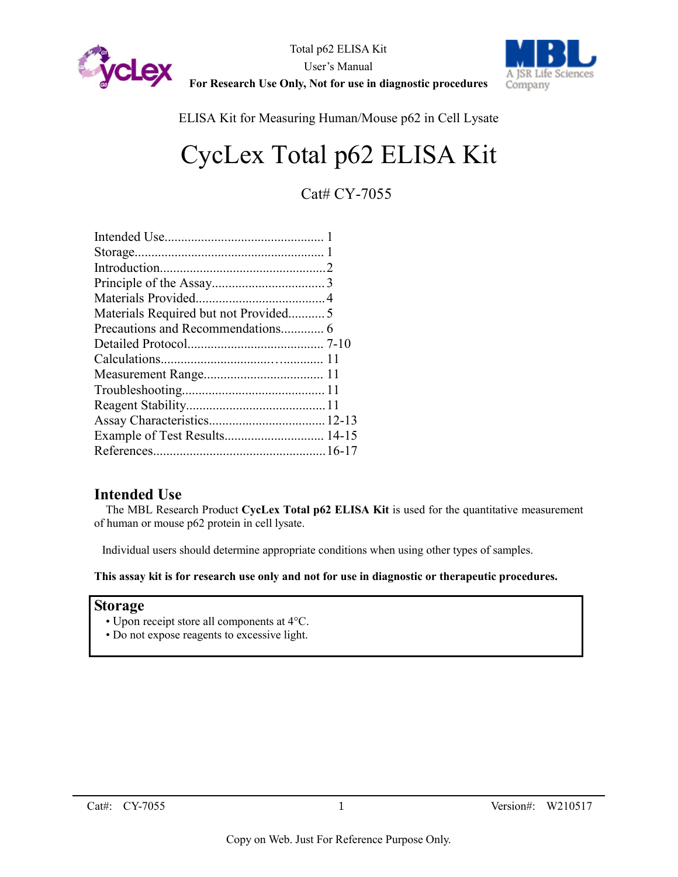



ELISA Kit for Measuring Human/Mouse p62 in Cell Lysate

# CycLex Total p62 ELISA Kit

Cat# CY-7055

| Materials Required but not Provided5 |  |
|--------------------------------------|--|
|                                      |  |
|                                      |  |
|                                      |  |
|                                      |  |
|                                      |  |
|                                      |  |
|                                      |  |
| Example of Test Results 14-15        |  |
|                                      |  |
|                                      |  |

# **Intended Use**

The MBL Research Product **CycLex Total p62 ELISA Kit** is used for the quantitative measurement of human or mouse p62 protein in cell lysate.

Individual users should determine appropriate conditions when using other types of samples.

**This assay kit is for research use only and not for use in diagnostic or therapeutic procedures.**

#### **Storage**

- Upon receipt store all components at 4°C.
- Do not expose reagents to excessive light.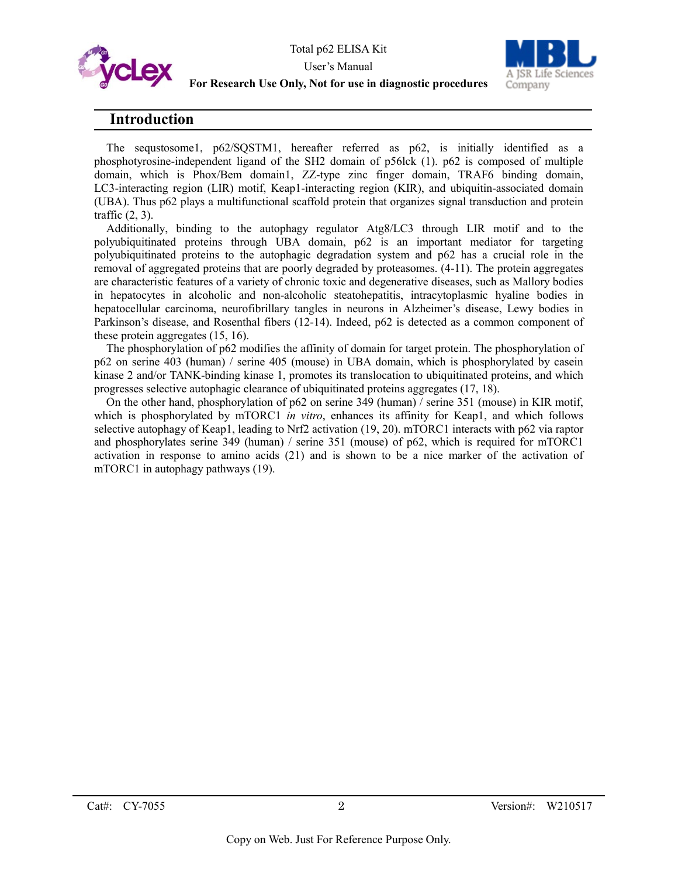



# **Introduction**

The sequstosome1, p62/SQSTM1, hereafter referred as p62, is initially identified as a phosphotyrosine-independent ligand of the SH2 domain of p56lck (1). p62 is composed of multiple domain, which is Phox/Bem domain1, ZZ-type zinc finger domain, TRAF6 binding domain, LC3-interacting region (LIR) motif, Keap1-interacting region (KIR), and ubiquitin-associated domain (UBA). Thus p62 plays a multifunctional scaffold protein that organizes signal transduction and protein traffic (2, 3).

Additionally, binding to the autophagy regulator Atg8/LC3 through LIR motif and to the polyubiquitinated proteins through UBA domain, p62 is an important mediator for targeting polyubiquitinated proteins to the autophagic degradation system and p62 has a crucial role in the removal of aggregated proteins that are poorly degraded by proteasomes. (4-11). The protein aggregates are characteristic features of a variety of chronic toxic and degenerative diseases, such as Mallory bodies in hepatocytes in alcoholic and non-alcoholic steatohepatitis, intracytoplasmic hyaline bodies in hepatocellular carcinoma, neurofibrillary tangles in neurons in Alzheimer's disease, Lewy bodies in Parkinson's disease, and Rosenthal fibers (12-14). Indeed, p62 is detected as a common component of these protein aggregates (15, 16).

The phosphorylation of p62 modifies the affinity of domain for target protein. The phosphorylation of p62 on serine 403 (human) / serine 405 (mouse) in UBA domain, which is phosphorylated by casein kinase 2 and/or TANK-binding kinase 1, promotes its translocation to ubiquitinated proteins, and which progresses selective autophagic clearance of ubiquitinated proteins aggregates (17, 18).

On the other hand, phosphorylation of p62 on serine 349 (human) / serine 351 (mouse) in KIR motif, which is phosphorylated by mTORC1 *in vitro*, enhances its affinity for Keap1, and which follows selective autophagy of Keap1, leading to Nrf2 activation (19, 20). mTORC1 interacts with p62 via raptor and phosphorylates serine 349 (human) / serine 351 (mouse) of p62, which is required for mTORC1 activation in response to amino acids (21) and is shown to be a nice marker of the activation of mTORC1 in autophagy pathways (19).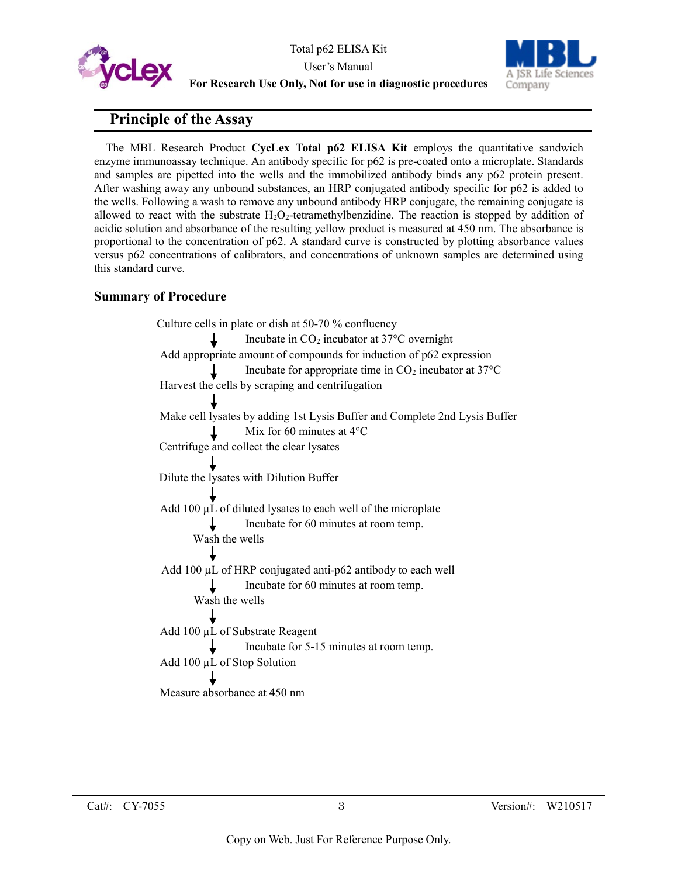



# **Principle of the Assay**

The MBL Research Product **CycLex Total p62 ELISA Kit** employs the quantitative sandwich enzyme immunoassay technique. An antibody specific for p62 is pre-coated onto a microplate. Standards and samples are pipetted into the wells and the immobilized antibody binds any p62 protein present. After washing away any unbound substances, an HRP conjugated antibody specific for p62 is added to the wells. Following a wash to remove any unbound antibody HRP conjugate, the remaining conjugate is allowed to react with the substrate  $H_2O_2$ -tetramethylbenzidine. The reaction is stopped by addition of acidic solution and absorbance of the resulting yellow product is measured at 450 nm. The absorbance is proportional to the concentration of p62. A standard curve is constructed by plotting absorbance values versus p62 concentrations of calibrators, and concentrations of unknown samples are determined using this standard curve.

#### **Summary of Procedure**

Culture cells in plate or dish at 50-70 % confluency Incubate in CO2 incubator at 37°C overnight Add appropriate amount of compounds for induction of p62 expression Incubate for appropriate time in  $CO<sub>2</sub>$  incubator at 37 $\rm ^{o}C$ Harvest the cells by scraping and centrifugation Make cell lysates by adding 1st Lysis Buffer and Complete 2nd Lysis Buffer Mix for 60 minutes at 4°C Centrifuge and collect the clear lysates Dilute the lysates with Dilution Buffer Add 100 µL of diluted lysates to each well of the microplate Incubate for 60 minutes at room temp. Wash the wells Add 100 µL of HRP conjugated anti-p62 antibody to each well Incubate for 60 minutes at room temp. Wash the wells Add 100 µL of Substrate Reagent Incubate for 5-15 minutes at room temp. Add 100 µL of Stop Solution Measure absorbance at 450 nm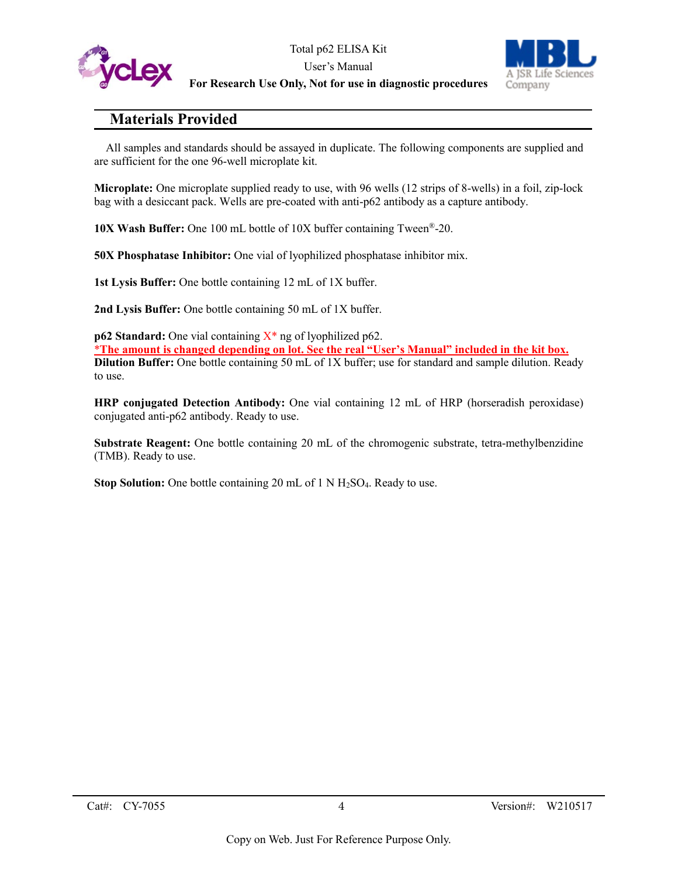

Total p62 ELISA Kit User's Manual **For Research Use Only, Not for use in diagnostic procedures**



# **Materials Provided**

All samples and standards should be assayed in duplicate. The following components are supplied and are sufficient for the one 96-well microplate kit.

**Microplate:** One microplate supplied ready to use, with 96 wells (12 strips of 8-wells) in a foil, zip-lock bag with a desiccant pack. Wells are pre-coated with anti-p62 antibody as a capture antibody.

**10X Wash Buffer:** One 100 mL bottle of 10X buffer containing Tween®-20.

**50X Phosphatase Inhibitor:** One vial of lyophilized phosphatase inhibitor mix.

**1st Lysis Buffer:** One bottle containing 12 mL of 1X buffer.

**2nd Lysis Buffer:** One bottle containing 50 mL of 1X buffer.

**p62 Standard:** One vial containing  $X^*$  ng of lyophilized p62. \***The amount is changed depending on lot. See the real "User's Manual" included in the kit box. Dilution Buffer:** One bottle containing 50 mL of 1X buffer; use for standard and sample dilution. Ready to use.

**HRP conjugated Detection Antibody:** One vial containing 12 mL of HRP (horseradish peroxidase) conjugated anti-p62 antibody. Ready to use.

**Substrate Reagent:** One bottle containing 20 mL of the chromogenic substrate, tetra-methylbenzidine (TMB). Ready to use.

**Stop Solution:** One bottle containing 20 mL of 1 N H<sub>2</sub>SO<sub>4</sub>. Ready to use.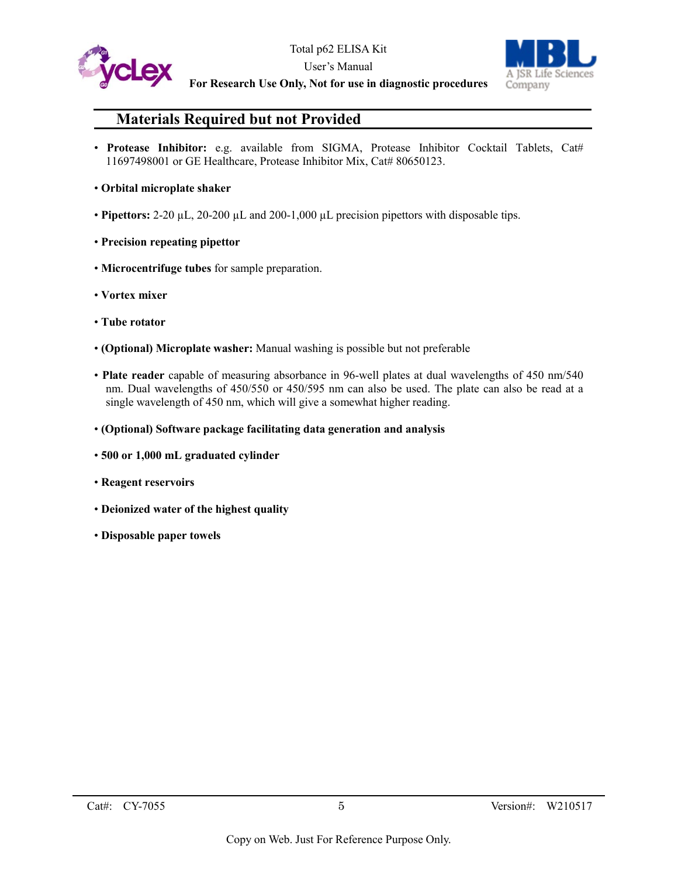



#### **For Research Use Only, Not for use in diagnostic procedures**

# **Materials Required but not Provided**

• **Protease Inhibitor:** e.g. available from SIGMA, Protease Inhibitor Cocktail Tablets, Cat# 11697498001 or GE Healthcare, Protease Inhibitor Mix, Cat# 80650123.

#### • **Orbital microplate shaker**

- **Pipettors:** 2-20 µL, 20-200 µL and 200-1,000 µL precision pipettors with disposable tips.
- **Precision repeating pipettor**
- **Microcentrifuge tubes** for sample preparation.
- **Vortex mixer**
- **Tube rotator**
- **(Optional) Microplate washer:** Manual washing is possible but not preferable
- **Plate reader** capable of measuring absorbance in 96-well plates at dual wavelengths of 450 nm/540 nm. Dual wavelengths of 450/550 or 450/595 nm can also be used. The plate can also be read at a single wavelength of 450 nm, which will give a somewhat higher reading.
- **(Optional) Software package facilitating data generation and analysis**
- **500 or 1,000 mL graduated cylinder**
- **Reagent reservoirs**
- **Deionized water of the highest quality**
- **Disposable paper towels**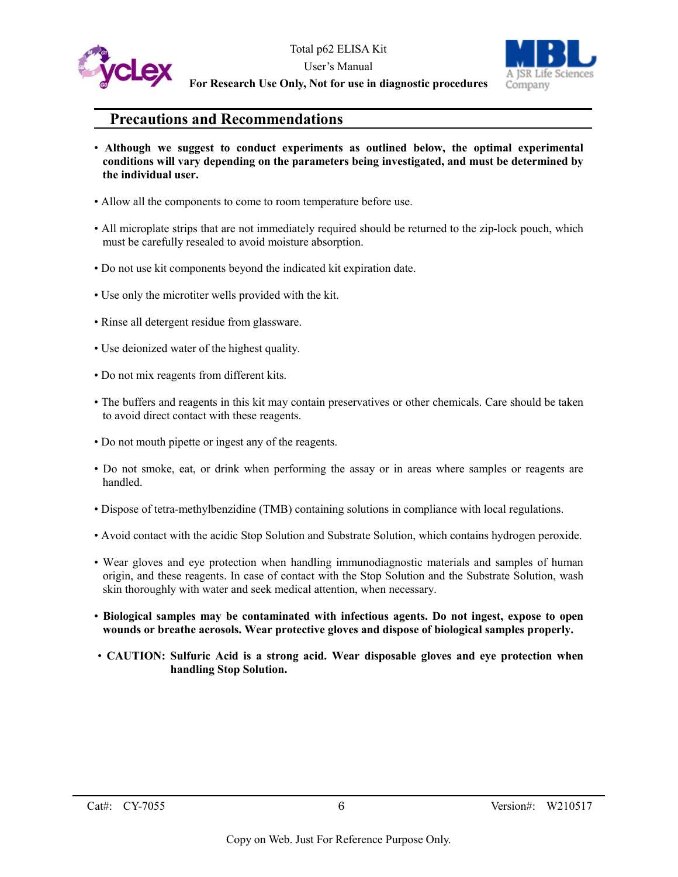



# **Precautions and Recommendations**

- **Although we suggest to conduct experiments as outlined below, the optimal experimental conditions will vary depending on the parameters being investigated, and must be determined by the individual user.**
- Allow all the components to come to room temperature before use.
- All microplate strips that are not immediately required should be returned to the zip-lock pouch, which must be carefully resealed to avoid moisture absorption.
- Do not use kit components beyond the indicated kit expiration date.
- Use only the microtiter wells provided with the kit.
- Rinse all detergent residue from glassware.
- Use deionized water of the highest quality.
- Do not mix reagents from different kits.
- The buffers and reagents in this kit may contain preservatives or other chemicals. Care should be taken to avoid direct contact with these reagents.
- Do not mouth pipette or ingest any of the reagents.
- Do not smoke, eat, or drink when performing the assay or in areas where samples or reagents are handled.
- Dispose of tetra-methylbenzidine (TMB) containing solutions in compliance with local regulations.
- Avoid contact with the acidic Stop Solution and Substrate Solution, which contains hydrogen peroxide.
- Wear gloves and eye protection when handling immunodiagnostic materials and samples of human origin, and these reagents. In case of contact with the Stop Solution and the Substrate Solution, wash skin thoroughly with water and seek medical attention, when necessary.
- **Biological samples may be contaminated with infectious agents. Do not ingest, expose to open wounds or breathe aerosols. Wear protective gloves and dispose of biological samples properly.**
- **CAUTION: Sulfuric Acid is a strong acid. Wear disposable gloves and eye protection when handling Stop Solution.**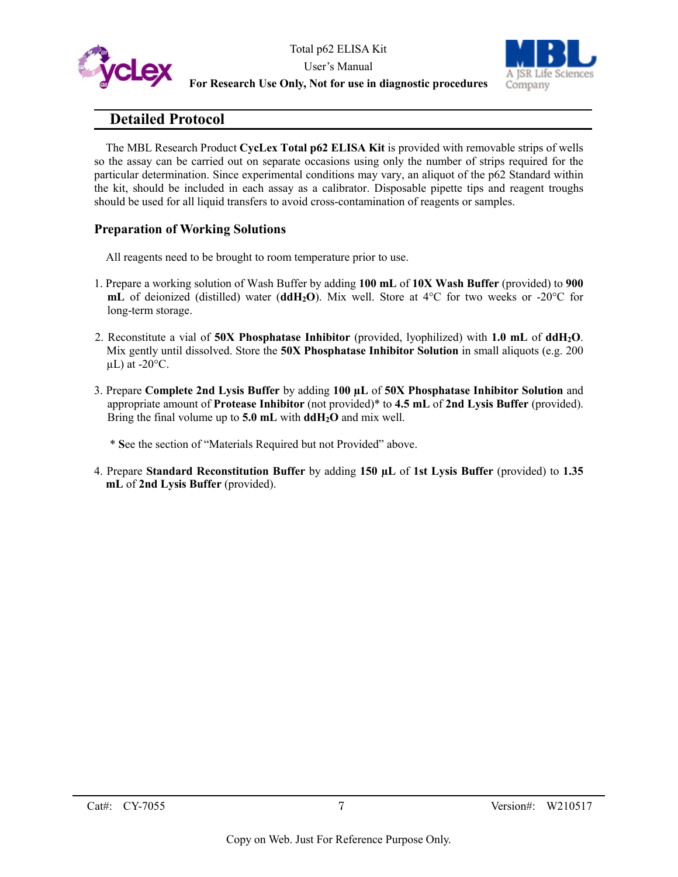



# **Detailed Protocol**

The MBL Research Product **CycLex Total p62 ELISA Kit** is provided with removable strips of wells so the assay can be carried out on separate occasions using only the number of strips required for the particular determination. Since experimental conditions may vary, an aliquot of the p62 Standard within the kit, should be included in each assay as a calibrator. Disposable pipette tips and reagent troughs should be used for all liquid transfers to avoid cross-contamination of reagents or samples.

### **Preparation of Working Solutions**

All reagents need to be brought to room temperature prior to use.

- 1. Prepare a working solution of Wash Buffer by adding **100 mL** of **10X Wash Buffer** (provided) to **900 mL** of deionized (distilled) water (**ddH2O**). Mix well. Store at 4°C for two weeks or -20°C for long-term storage.
- 2. Reconstitute a vial of **50X Phosphatase Inhibitor** (provided, lyophilized) with **1.0 mL** of **ddH2O**. Mix gently until dissolved. Store the **50X Phosphatase Inhibitor Solution** in small aliquots (e.g. 200  $\mu$ L) at -20 $\mathrm{^{\circ}C}$ .
- 3. Prepare **Complete 2nd Lysis Buffer** by adding **100 µL** of **50X Phosphatase Inhibitor Solution** and appropriate amount of **Protease Inhibitor** (not provided)\* to **4.5 mL** of **2nd Lysis Buffer** (provided). Bring the final volume up to **5.0 mL** with **ddH2O** and mix well.

\* **S**ee the section of "Materials Required but not Provided" above.

4. Prepare **Standard Reconstitution Buffer** by adding **150 µL** of **1st Lysis Buffer** (provided) to **1.35 mL** of **2nd Lysis Buffer** (provided).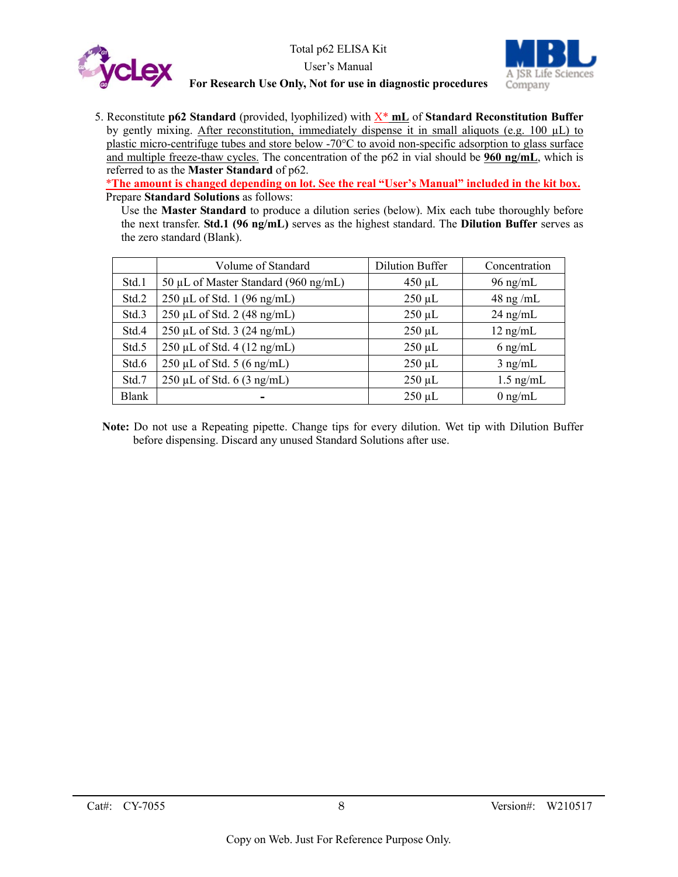



5. Reconstitute **p62 Standard** (provided, lyophilized) with X\* **mL** of **Standard Reconstitution Buffer** by gently mixing. After reconstitution, immediately dispense it in small aliquots (e.g.  $100 \mu L$ ) to plastic micro-centrifuge tubes and store below -70°C to avoid non-specific adsorption to glass surface and multiple freeze-thaw cycles. The concentration of the p62 in vial should be **960 ng/mL**, which is referred to as the **Master Standard** of p62.

\***The amount is changed depending on lot. See the real "User's Manual" included in the kit box.** Prepare **Standard Solutions** as follows:

Use the **Master Standard** to produce a dilution series (below). Mix each tube thoroughly before the next transfer. **Std.1 (96 ng/mL)** serves as the highest standard. The **Dilution Buffer** serves as the zero standard (Blank).

|       | Volume of Standard                   | Dilution Buffer | Concentration |
|-------|--------------------------------------|-----------------|---------------|
| Std.1 | 50 µL of Master Standard (960 ng/mL) | $450 \mu L$     | $96$ ng/mL    |
| Std.2 | 250 µL of Std. 1 (96 ng/mL)          | $250 \mu L$     | $48$ ng /mL   |
| Std.3 | $250 \mu L$ of Std. 2 (48 ng/mL)     | $250 \mu L$     | $24$ ng/mL    |
| Std.4 | $250 \mu L$ of Std. 3 (24 ng/mL)     | $250 \mu L$     | $12$ ng/mL    |
| Std.5 | 250 μL of Std. 4 (12 ng/mL)          | $250 \mu L$     | $6$ ng/mL     |
| Std.6 | $250 \mu L$ of Std. 5 (6 ng/mL)      | $250 \mu L$     | $3$ ng/mL     |
| Std.7 | $250 \mu L$ of Std. 6 (3 ng/mL)      | $250 \mu L$     | $1.5$ ng/mL   |
| Blank |                                      | $250 \mu L$     | $0$ ng/mL     |

**Note:** Do not use a Repeating pipette. Change tips for every dilution. Wet tip with Dilution Buffer before dispensing. Discard any unused Standard Solutions after use.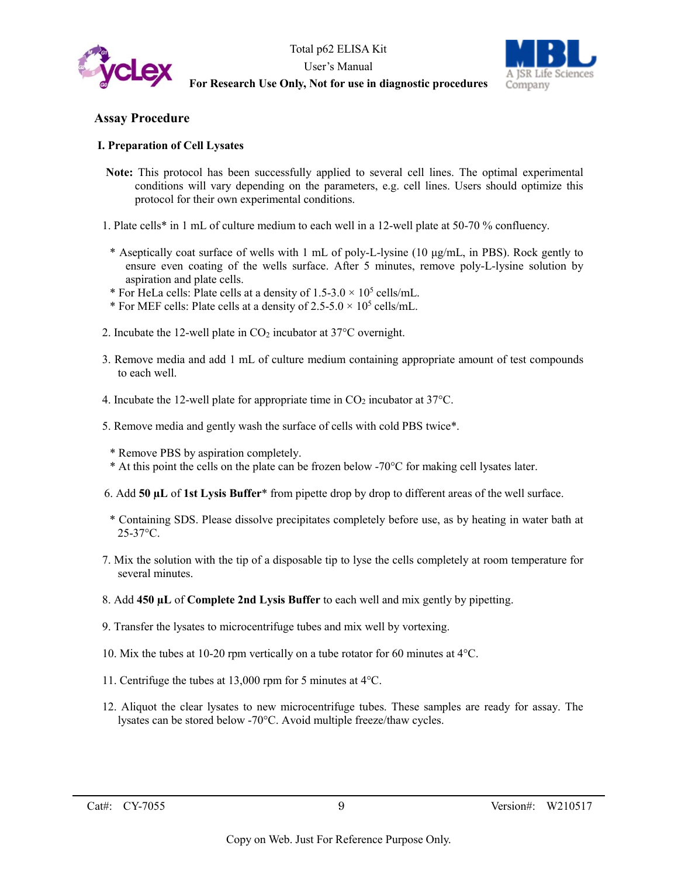



#### **Assay Procedure**

#### **I. Preparation of Cell Lysates**

- **Note:** This protocol has been successfully applied to several cell lines. The optimal experimental conditions will vary depending on the parameters, e.g. cell lines. Users should optimize this protocol for their own experimental conditions.
- 1. Plate cells\* in 1 mL of culture medium to each well in a 12-well plate at 50-70 % confluency.
	- \* Aseptically coat surface of wells with 1 mL of poly-L-lysine (10 μg/mL, in PBS). Rock gently to ensure even coating of the wells surface. After 5 minutes, remove poly-L-lysine solution by aspiration and plate cells.
	- \* For HeLa cells: Plate cells at a density of  $1.5{\text -}3.0 \times 10^5$  cells/mL.
- \* For MEF cells: Plate cells at a density of  $2.5-5.0 \times 10^5$  cells/mL.
- 2. Incubate the 12-well plate in  $CO<sub>2</sub>$  incubator at 37 $\degree$ C overnight.
- 3. Remove media and add 1 mL of culture medium containing appropriate amount of test compounds to each well.
- 4. Incubate the 12-well plate for appropriate time in  $CO_2$  incubator at 37 $^{\circ}$ C.
- 5. Remove media and gently wash the surface of cells with cold PBS twice\*.
	- \* Remove PBS by aspiration completely.
	- \* At this point the cells on the plate can be frozen below -70°C for making cell lysates later.
- 6. Add **50 µL** of **1st Lysis Buffer**\* from pipette drop by drop to different areas of the well surface.
- \* Containing SDS. Please dissolve precipitates completely before use, as by heating in water bath at 25-37°C.
- 7. Mix the solution with the tip of a disposable tip to lyse the cells completely at room temperature for several minutes.
- 8. Add **450 µL** of **Complete 2nd Lysis Buffer** to each well and mix gently by pipetting.
- 9. Transfer the lysates to microcentrifuge tubes and mix well by vortexing.
- 10. Mix the tubes at 10-20 rpm vertically on a tube rotator for 60 minutes at 4°C.
- 11. Centrifuge the tubes at 13,000 rpm for 5 minutes at 4°C.
- 12. Aliquot the clear lysates to new microcentrifuge tubes. These samples are ready for assay. The lysates can be stored below -70°C. Avoid multiple freeze/thaw cycles.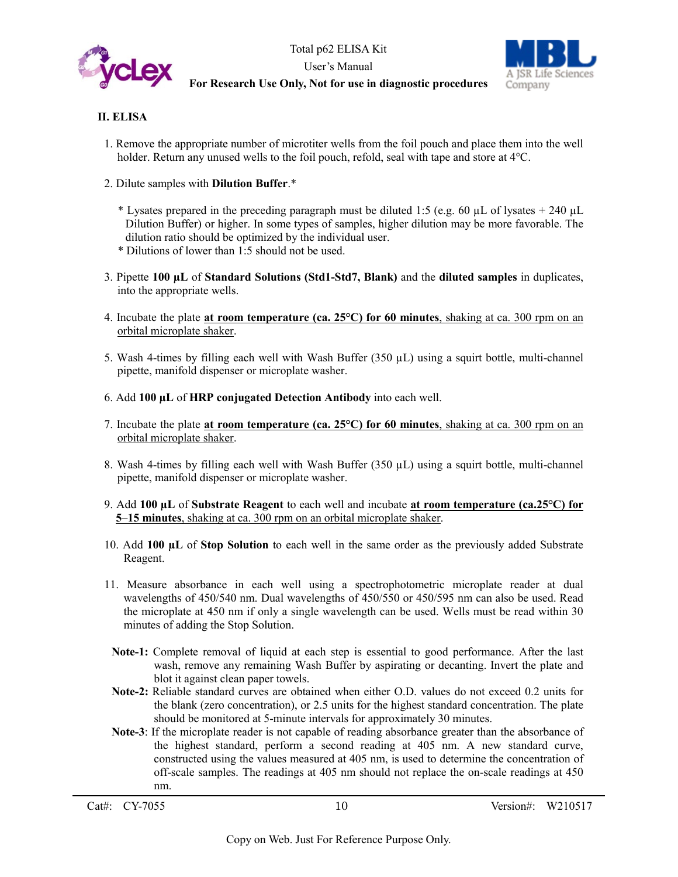

Total p62 ELISA Kit User's Manual **For Research Use Only, Not for use in diagnostic procedures**



#### **II. ELISA**

- 1. Remove the appropriate number of microtiter wells from the foil pouch and place them into the well holder. Return any unused wells to the foil pouch, refold, seal with tape and store at 4 °C.
- 2. Dilute samples with **Dilution Buffer**.\*
	- \* Lysates prepared in the preceding paragraph must be diluted 1:5 (e.g. 60  $\mu$ L of lysates + 240  $\mu$ L Dilution Buffer) or higher. In some types of samples, higher dilution may be more favorable. The dilution ratio should be optimized by the individual user.
	- \* Dilutions of lower than 1:5 should not be used.
- 3. Pipette **100 µL** of **Standard Solutions (Std1-Std7, Blank)** and the **diluted samples** in duplicates, into the appropriate wells.
- 4. Incubate the plate **at room temperature (ca. 25°C) for 60 minutes**, shaking at ca. 300 rpm on an orbital microplate shaker.
- 5. Wash 4-times by filling each well with Wash Buffer (350 µL) using a squirt bottle, multi-channel pipette, manifold dispenser or microplate washer.
- 6. Add **100 µL** of **HRP conjugated Detection Antibody** into each well.
- 7. Incubate the plate **at room temperature (ca. 25°C) for 60 minutes**, shaking at ca. 300 rpm on an orbital microplate shaker.
- 8. Wash 4-times by filling each well with Wash Buffer (350 µL) using a squirt bottle, multi-channel pipette, manifold dispenser or microplate washer.
- 9. Add **100 µL** of **Substrate Reagent** to each well and incubate **at room temperature (ca.25°C) for 5–15 minutes**, shaking at ca. 300 rpm on an orbital microplate shaker.
- 10. Add **100 µL** of **Stop Solution** to each well in the same order as the previously added Substrate Reagent.
- 11. Measure absorbance in each well using a spectrophotometric microplate reader at dual wavelengths of 450/540 nm. Dual wavelengths of 450/550 or 450/595 nm can also be used. Read the microplate at 450 nm if only a single wavelength can be used. Wells must be read within 30 minutes of adding the Stop Solution.
- **Note-1:** Complete removal of liquid at each step is essential to good performance. After the last wash, remove any remaining Wash Buffer by aspirating or decanting. Invert the plate and blot it against clean paper towels.
- **Note-2:** Reliable standard curves are obtained when either O.D. values do not exceed 0.2 units for the blank (zero concentration), or 2.5 units for the highest standard concentration. The plate should be monitored at 5-minute intervals for approximately 30 minutes.
- **Note-3**: If the microplate reader is not capable of reading absorbance greater than the absorbance of the highest standard, perform a second reading at 405 nm. A new standard curve, constructed using the values measured at 405 nm, is used to determine the concentration of off-scale samples. The readings at 405 nm should not replace the on-scale readings at 450 nm.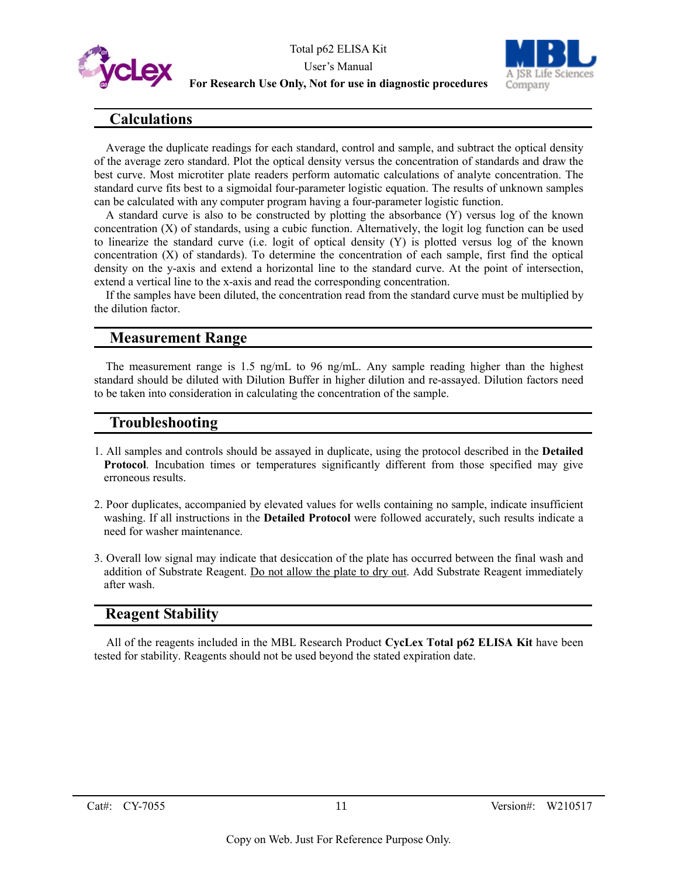



# **Calculations**

Average the duplicate readings for each standard, control and sample, and subtract the optical density of the average zero standard. Plot the optical density versus the concentration of standards and draw the best curve. Most microtiter plate readers perform automatic calculations of analyte concentration. The standard curve fits best to a sigmoidal four-parameter logistic equation. The results of unknown samples can be calculated with any computer program having a four-parameter logistic function.

A standard curve is also to be constructed by plotting the absorbance (Y) versus log of the known concentration (X) of standards, using a cubic function. Alternatively, the logit log function can be used to linearize the standard curve (i.e. logit of optical density (Y) is plotted versus log of the known concentration (X) of standards). To determine the concentration of each sample, first find the optical density on the y-axis and extend a horizontal line to the standard curve. At the point of intersection, extend a vertical line to the x-axis and read the corresponding concentration.

If the samples have been diluted, the concentration read from the standard curve must be multiplied by the dilution factor.

### **Measurement Range**

The measurement range is 1.5 ng/mL to 96 ng/mL. Any sample reading higher than the highest standard should be diluted with Dilution Buffer in higher dilution and re-assayed. Dilution factors need to be taken into consideration in calculating the concentration of the sample.

### **Troubleshooting**

- 1. All samples and controls should be assayed in duplicate, using the protocol described in the **Detailed Protocol**. Incubation times or temperatures significantly different from those specified may give erroneous results.
- 2. Poor duplicates, accompanied by elevated values for wells containing no sample, indicate insufficient washing. If all instructions in the **Detailed Protocol** were followed accurately, such results indicate a need for washer maintenance.
- 3. Overall low signal may indicate that desiccation of the plate has occurred between the final wash and addition of Substrate Reagent. Do not allow the plate to dry out. Add Substrate Reagent immediately after wash.

# **Reagent Stability**

All of the reagents included in the MBL Research Product **CycLex Total p62 ELISA Kit** have been tested for stability. Reagents should not be used beyond the stated expiration date.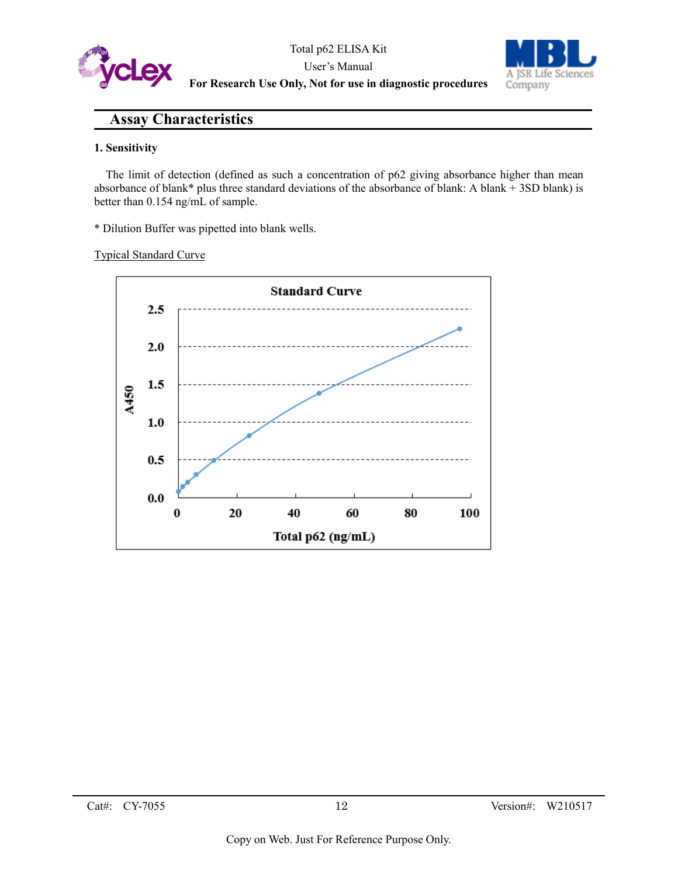



# **Assay Characteristics**

#### **1. Sensitivity**

The limit of detection (defined as such a concentration of p62 giving absorbance higher than mean absorbance of blank\* plus three standard deviations of the absorbance of blank: A blank + 3SD blank) is better than 0.154 ng/mL of sample.

\* Dilution Buffer was pipetted into blank wells.

#### Typical Standard Curve

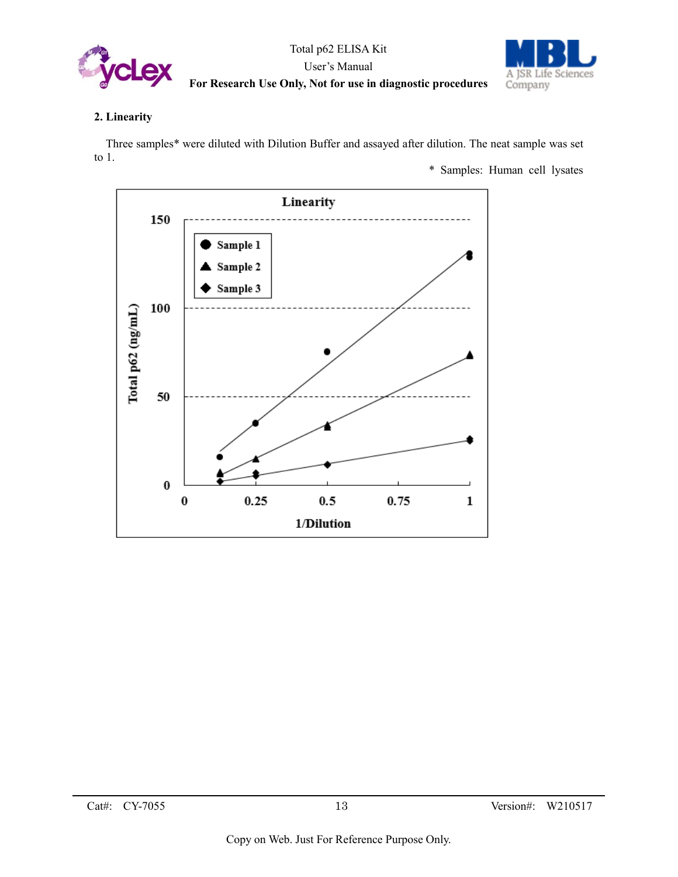



#### **2. Linearity**

Three samples\* were diluted with Dilution Buffer and assayed after dilution. The neat sample was set to 1.

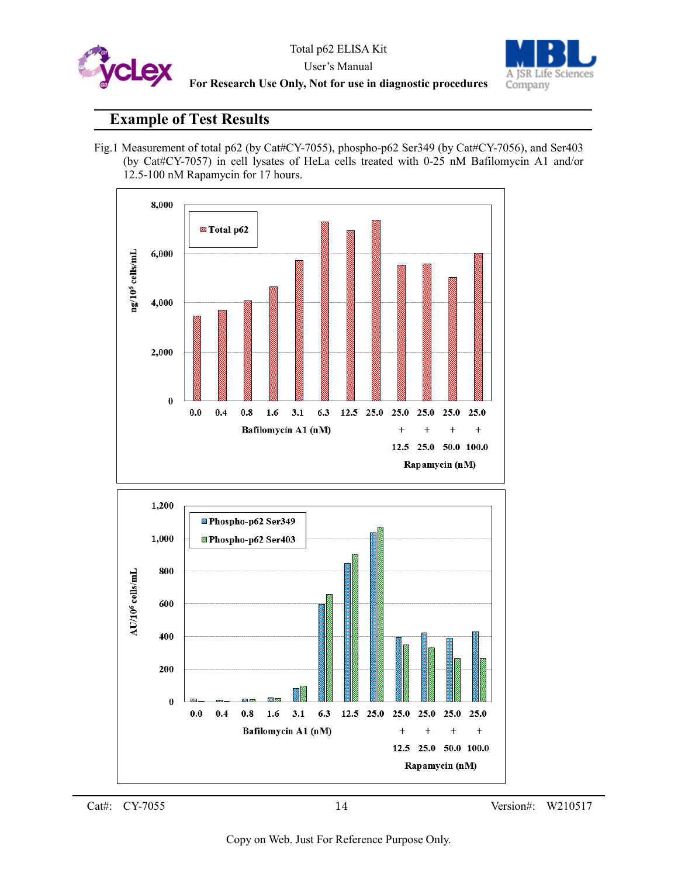



# **Example of Test Results**

Fig.1 Measurement of total p62 (by Cat#CY-7055), phospho-p62 Ser349 (by Cat#CY-7056), and Ser403 (by Cat#CY-7057) in cell lysates of HeLa cells treated with 0-25 nM Bafilomycin A1 and/or 12.5-100 nM Rapamycin for 17 hours.

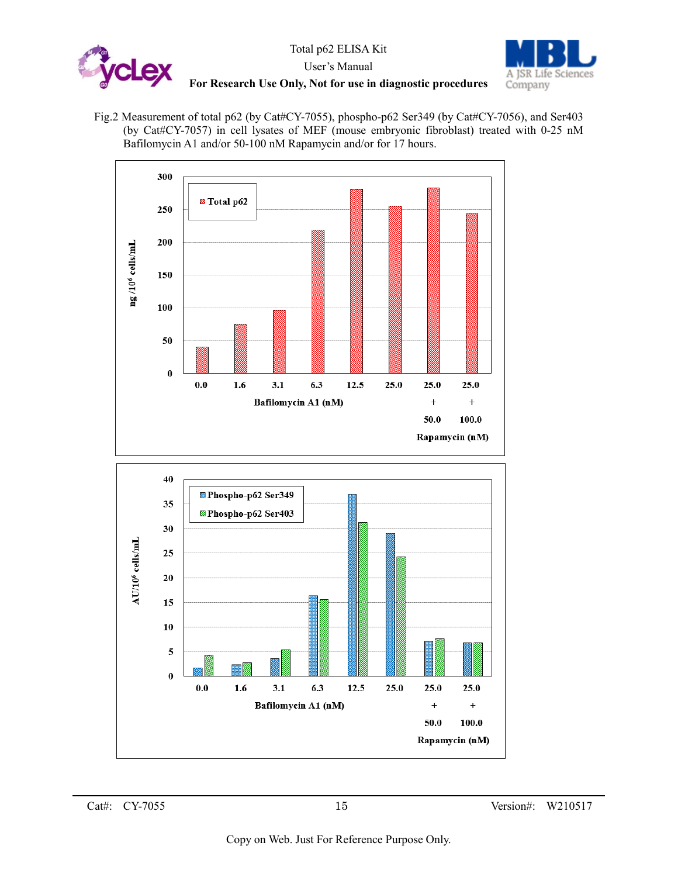



Fig.2 Measurement of total p62 (by Cat#CY-7055), phospho-p62 Ser349 (by Cat#CY-7056), and Ser403 (by Cat#CY-7057) in cell lysates of MEF (mouse embryonic fibroblast) treated with 0-25 nM Bafilomycin A1 and/or 50-100 nM Rapamycin and/or for 17 hours.

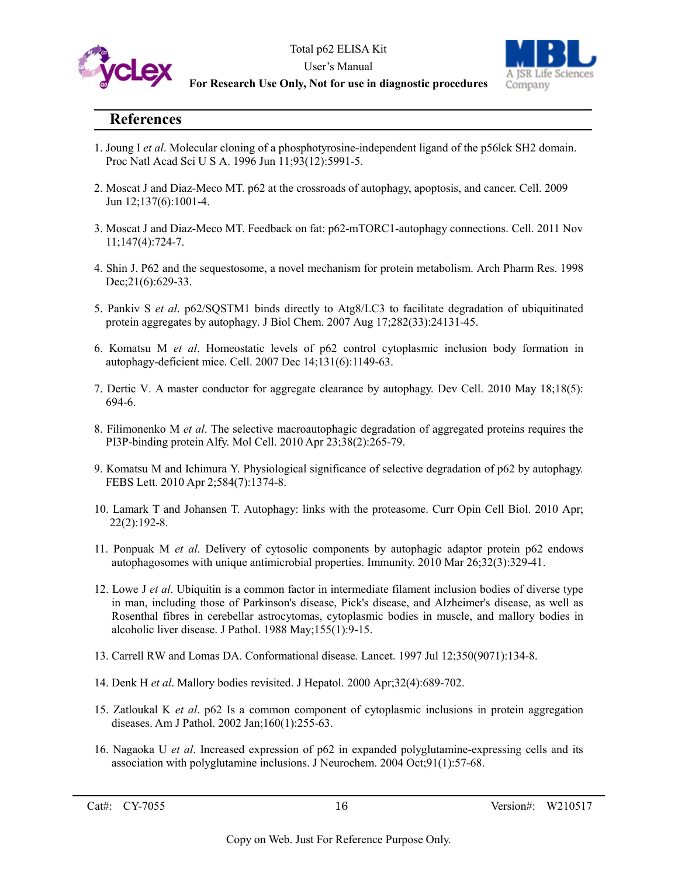



# **References**

- 1. Joung I *et al*. Molecular cloning of a phosphotyrosine-independent ligand of the p56lck SH2 domain. Proc Natl Acad Sci U S A. 1996 Jun 11;93(12):5991-5.
- 2. Moscat J and Diaz-Meco MT. p62 at the crossroads of autophagy, apoptosis, and cancer. Cell. 2009 Jun 12;137(6):1001-4.
- 3. Moscat J and Diaz-Meco MT. Feedback on fat: p62-mTORC1-autophagy connections. Cell. 2011 Nov 11;147(4):724-7.
- 4. Shin J. P62 and the sequestosome, a novel mechanism for protein metabolism. Arch Pharm Res. 1998 Dec; 21(6): 629-33.
- 5. Pankiv S *et al*. p62/SQSTM1 binds directly to Atg8/LC3 to facilitate degradation of ubiquitinated protein aggregates by autophagy. J Biol Chem. 2007 Aug 17;282(33):24131-45.
- 6. Komatsu M *et al*. Homeostatic levels of p62 control cytoplasmic inclusion body formation in autophagy-deficient mice. Cell. 2007 Dec 14;131(6):1149-63.
- 7. Dertic V. A master conductor for aggregate clearance by autophagy. Dev Cell. 2010 May 18;18(5): 694-6.
- 8. Filimonenko M *et al*. The selective macroautophagic degradation of aggregated proteins requires the PI3P-binding protein Alfy. Mol Cell. 2010 Apr 23;38(2):265-79.
- 9. Komatsu M and Ichimura Y. Physiological significance of selective degradation of p62 by autophagy. FEBS Lett. 2010 Apr 2;584(7):1374-8.
- 10. Lamark T and Johansen T. Autophagy: links with the proteasome. Curr Opin Cell Biol. 2010 Apr; 22(2):192-8.
- 11. Ponpuak M *et al*. Delivery of cytosolic components by autophagic adaptor protein p62 endows autophagosomes with unique antimicrobial properties. Immunity. 2010 Mar 26;32(3):329-41.
- 12. Lowe J *et al*. Ubiquitin is a common factor in intermediate filament inclusion bodies of diverse type in man, including those of Parkinson's disease, Pick's disease, and Alzheimer's disease, as well as Rosenthal fibres in cerebellar astrocytomas, cytoplasmic bodies in muscle, and mallory bodies in alcoholic liver disease. J Pathol. 1988 May;155(1):9-15.
- 13. Carrell RW and Lomas DA. Conformational disease. Lancet. 1997 Jul 12;350(9071):134-8.
- 14. Denk H *et al*. Mallory bodies revisited. J Hepatol. 2000 Apr;32(4):689-702.
- 15. Zatloukal K *et al*. p62 Is a common component of cytoplasmic inclusions in protein aggregation diseases. Am J Pathol. 2002 Jan;160(1):255-63.
- 16. Nagaoka U *et al*. Increased expression of p62 in expanded polyglutamine-expressing cells and its association with polyglutamine inclusions. J Neurochem. 2004 Oct;91(1):57-68.